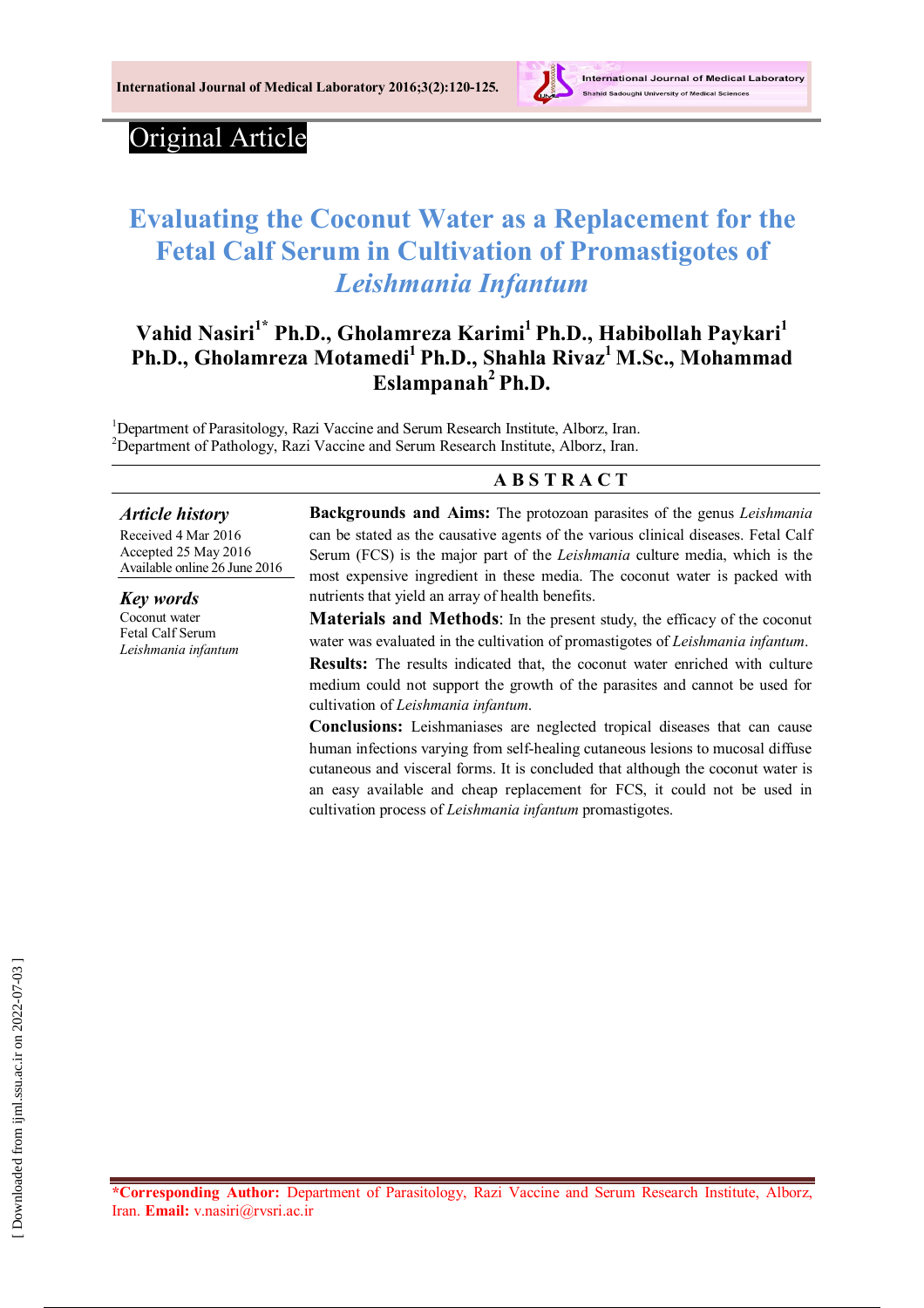

# Original Article

# **Evaluating the Coconut Water as a Replacement for the Fetal Calf Serum in Cultivation of Promastigotes of**  *Leishmania Infantum*

## **Vahid Nasiri1\* Ph.D., Gholamreza Karimi<sup>1</sup> Ph.D., Habibollah Paykari<sup>1</sup> Ph.D., Gholamreza Motamedi<sup>1</sup> Ph.D., Shahla Rivaz<sup>1</sup> M.Sc., Mohammad Eslampanah<sup>2</sup> Ph.D.**

<sup>1</sup>Department of Parasitology, Razi Vaccine and Serum Research Institute, Alborz, Iran. <sup>2</sup>Department of Pathology, Razi Vaccine and Serum Research Institute, Alborz, Iran.

#### **A B S T R A C T**

#### *Article history*

Received 4 Mar 2016 Accepted 25 May 2016 Available online 26 June 2016

*Key words* Coconut water Fetal Calf Serum *Leishmania infantum* **Backgrounds and Aims:** The protozoan parasites of the genus *Leishmania*  can be stated as the causative agents of the various clinical diseases. Fetal Calf Serum (FCS) is the major part of the *Leishmania* culture media, which is the most expensive ingredient in these media. The coconut water is packed with nutrients that yield an array of health benefits.

**Materials and Methods**: In the present study, the efficacy of the coconut water was evaluated in the cultivation of promastigotes of *Leishmania infantum*.

**Results:** The results indicated that, the coconut water enriched with culture medium could not support the growth of the parasites and cannot be used for cultivation of *Leishmania infantum*.

**Conclusions:** Leishmaniases are neglected tropical diseases that can cause human infections varying from self-healing cutaneous lesions to mucosal diffuse cutaneous and visceral forms. It is concluded that although the coconut water is an easy available and cheap replacement for FCS, it could not be used in cultivation process of *Leishmania infantum* promastigotes.

**\*Corresponding Author:** Department of Parasitology, Razi Vaccine and Serum Research Institute, Alborz, Iran. **Email:** v.nasiri@rvsri.ac.ir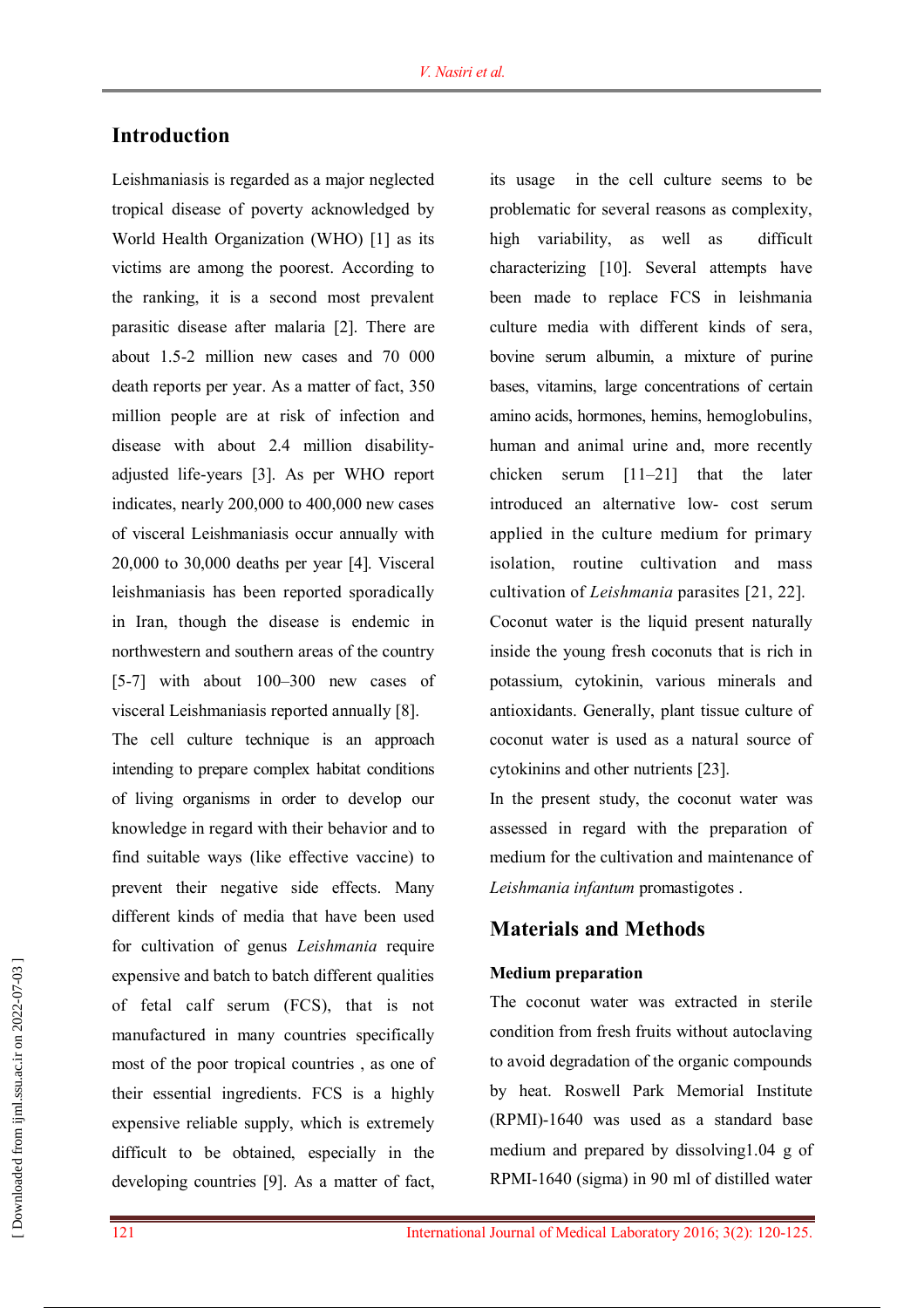## **Introduction**

Leishmaniasis is regarded as a major neglected tropical disease of poverty acknowledged by World Health Organization (WHO) [1] as its victims are among the poorest. According to the ranking, it is a second most prevalent parasitic disease after malaria [2]. There are about 1.5-2 million new cases and 70 000 death reports per year. As a matter of fact, 350 million people are at risk of infection and disease with about 2.4 million disabilityadjusted life-years [3]. As per WHO report indicates, nearly 200,000 to 400,000 new cases of visceral Leishmaniasis occur annually with 20,000 to 30,000 deaths per year [4]. Visceral leishmaniasis has been reported sporadically in Iran, though the disease is endemic in northwestern and southern areas of the country [5-7] with about 100–300 new cases of visceral Leishmaniasis reported annually [8].

The cell culture technique is an approach intending to prepare complex habitat conditions of living organisms in order to develop our knowledge in regard with their behavior and to find suitable ways (like effective vaccine) to prevent their negative side effects. Many different kinds of media that have been used for cultivation of genus *Leishmania* require expensive and batch to batch different qualities of fetal calf serum (FCS), that is not manufactured in many countries specifically most of the poor tropical countries , as one of their essential ingredients. FCS is a highly expensive reliable supply, which is extremely difficult to be obtained, especially in the developing countries [9]. As a matter of fact,

its usage in the cell culture seems to be problematic for several reasons as complexity, high variability, as well as difficult characterizing [10]. Several attempts have been made to replace FCS in leishmania culture media with different kinds of sera, bovine serum albumin, a mixture of purine bases, vitamins, large concentrations of certain amino acids, hormones, hemins, hemoglobulins, human and animal urine and, more recently chicken serum [11–21] that the later introduced an alternative low- cost serum applied in the culture medium for primary isolation, routine cultivation and mass cultivation of *Leishmania* parasites [21, 22]. Coconut water is the liquid present naturally inside the young fresh coconuts that is rich in potassium, cytokinin, various minerals and antioxidants. Generally, plant tissue culture of coconut water is used as a natural source of cytokinins and other nutrients [23].

In the present study, the coconut water was assessed in regard with the preparation of medium for the cultivation and maintenance of *Leishmania infantum* promastigotes .

## **Materials and Methods**

#### **Medium preparation**

The coconut water was extracted in sterile condition from fresh fruits without autoclaving to avoid degradation of the organic compounds by heat. Roswell Park Memorial Institute (RPMI)-1640 was used as a standard base medium and prepared by dissolving1.04 g of RPMI-1640 (sigma) in 90 ml of distilled water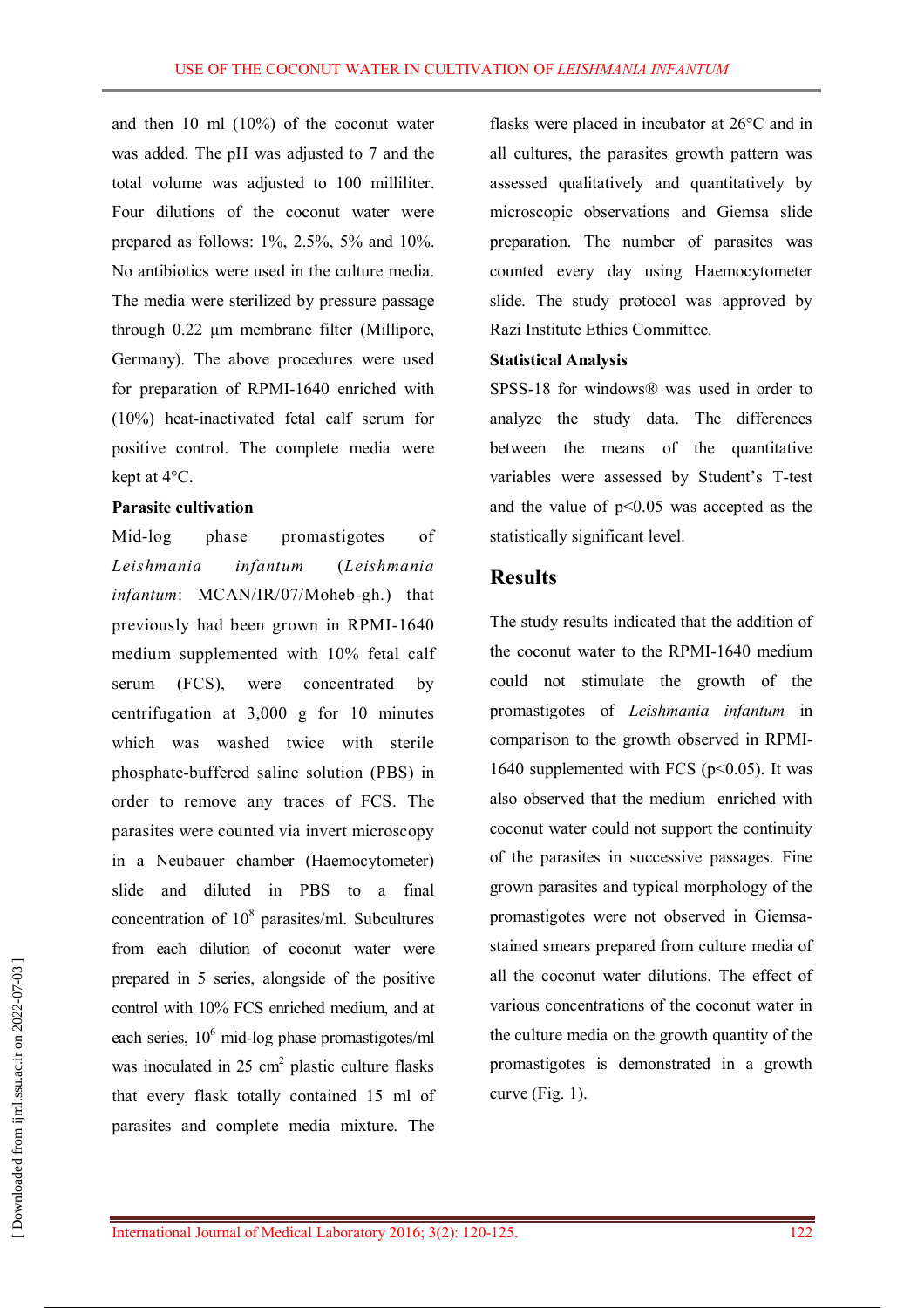and then 10 ml (10%) of the coconut water was added. The pH was adjusted to 7 and the total volume was adjusted to 100 milliliter. Four dilutions of the coconut water were prepared as follows:  $1\%$ ,  $2.5\%$ ,  $5\%$  and  $10\%$ . No antibiotics were used in the culture media. The media were sterilized by pressure passage through 0.22 μm membrane filter (Millipore, Germany). The above procedures were used for preparation of RPMI-1640 enriched with (10%) heat-inactivated fetal calf serum for positive control. The complete media were kept at 4°C.

#### **Parasite cultivation**

Mid-log phase promastigotes of *Leishmania infantum* (*Leishmania infantum*: MCAN/IR/07/Moheb-gh.) that previously had been grown in RPMI-1640 medium supplemented with 10% fetal calf serum (FCS), were concentrated by centrifugation at 3,000 g for 10 minutes which was washed twice with sterile phosphate-buffered saline solution (PBS) in order to remove any traces of FCS. The parasites were counted via invert microscopy in a Neubauer chamber (Haemocytometer) slide and diluted in PBS to a final concentration of  $10^8$  parasites/ml. Subcultures from each dilution of coconut water were prepared in 5 series, alongside of the positive control with 10% FCS enriched medium, and at each series,  $10<sup>6</sup>$  mid-log phase promastigotes/ml was inoculated in  $25 \text{ cm}^2$  plastic culture flasks that every flask totally contained 15 ml of parasites and complete media mixture. The

flasks were placed in incubator at 26°C and in all cultures, the parasites growth pattern was assessed qualitatively and quantitatively by microscopic observations and Giemsa slide preparation. The number of parasites was counted every day using Haemocytometer slide. The study protocol was approved by Razi Institute Ethics Committee.

#### **Statistical Analysis**

SPSS-18 for windows® was used in order to analyze the study data. The differences between the means of the quantitative variables were assessed by Student's T-test and the value of  $p<0.05$  was accepted as the statistically significant level.

## **Results**

The study results indicated that the addition of the coconut water to the RPMI-1640 medium could not stimulate the growth of the promastigotes of *Leishmania infantum* in comparison to the growth observed in RPMI-1640 supplemented with FCS ( $p<0.05$ ). It was also observed that the medium enriched with coconut water could not support the continuity of the parasites in successive passages. Fine grown parasites and typical morphology of the promastigotes were not observed in Giemsastained smears prepared from culture media of all the coconut water dilutions. The effect of various concentrations of the coconut water in the culture media on the growth quantity of the promastigotes is demonstrated in a growth curve (Fig. 1).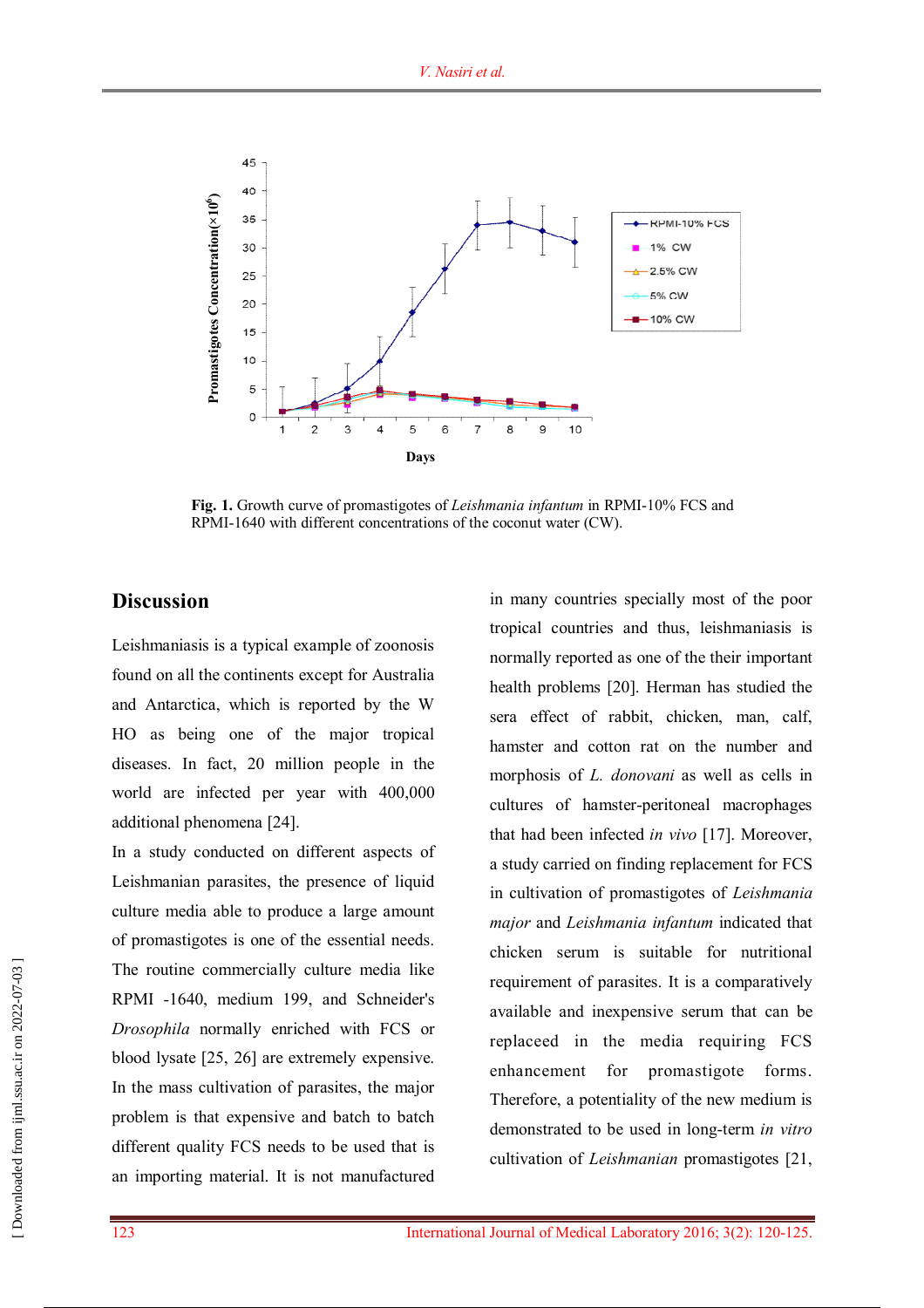

**Fig. 1.** Growth curve of promastigotes of *Leishmania infantum* in RPMI-10% FCS and RPMI-1640 with different concentrations of the coconut water (CW).

### **Discussion**

Leishmaniasis is a typical example of zoonosis found on all the continents except for Australia and Antarctica, which is reported by the W HO as being one of the major tropical diseases. In fact, 20 million people in the world are infected per year with 400,000 additional phenomena [24].

In a study conducted on different aspects of Leishmanian parasites, the presence of liquid culture media able to produce a large amount of promastigotes is one of the essential needs. The routine commercially culture media like RPMI -1640, medium 199, and Schneider's *Drosophila* normally enriched with FCS or blood lysate [25, 26] are extremely expensive. In the mass cultivation of parasites, the major problem is that expensive and batch to batch different quality FCS needs to be used that is an importing material. It is not manufactured

in many countries specially most of the poor tropical countries and thus, leishmaniasis is normally reported as one of the their important health problems [20]. Herman has studied the sera effect of rabbit, chicken, man, calf, hamster and cotton rat on the number and morphosis of *L. donovani* as well as cells in cultures of hamster-peritoneal macrophages that had been infected *in vivo* [17]. Moreover, a study carried on finding replacement for FCS in cultivation of promastigotes of *Leishmania major* and *Leishmania infantum* indicated that chicken serum is suitable for nutritional requirement of parasites. It is a comparatively available and inexpensive serum that can be replaceed in the media requiring FCS enhancement for promastigote forms. Therefore, a potentiality of the new medium is demonstrated to be used in long-term *in vitro* cultivation of *Leishmanian* promastigotes [21,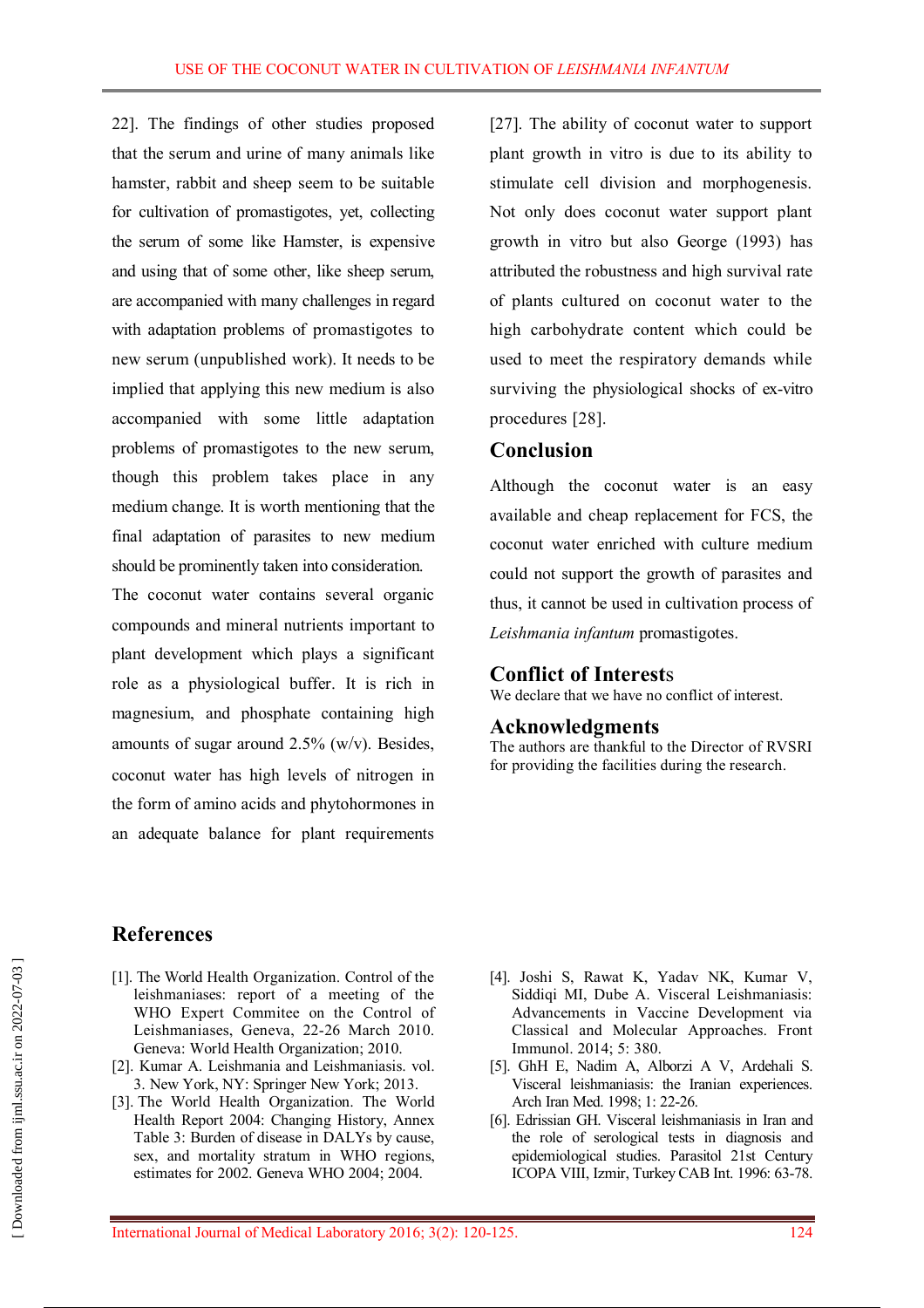22]. The findings of other studies proposed that the serum and urine of many animals like hamster, rabbit and sheep seem to be suitable for cultivation of promastigotes, yet, collecting the serum of some like Hamster, is expensive and using that of some other, like sheep serum, are accompanied with many challenges in regard with adaptation problems of promastigotes to new serum (unpublished work). It needs to be implied that applying this new medium is also accompanied with some little adaptation problems of promastigotes to the new serum, though this problem takes place in any medium change. It is worth mentioning that the final adaptation of parasites to new medium should be prominently taken into consideration.

The coconut water contains several organic compounds and mineral nutrients important to plant development which plays a significant role as a physiological buffer. It is rich in magnesium, and phosphate containing high amounts of sugar around  $2.5\%$  (w/v). Besides, coconut water has high levels of nitrogen in the form of amino acids and phytohormones in an adequate balance for plant requirements

[27]. The ability of coconut water to support plant growth in vitro is due to its ability to stimulate cell division and morphogenesis. Not only does coconut water support plant growth in vitro but also George (1993) has attributed the robustness and high survival rate of plants cultured on coconut water to the high carbohydrate content which could be used to meet the respiratory demands while surviving the physiological shocks of ex-vitro procedures [28].

## **Conclusion**

Although the coconut water is an easy available and cheap replacement for FCS, the coconut water enriched with culture medium could not support the growth of parasites and thus, it cannot be used in cultivation process of *Leishmania infantum* promastigotes.

## **Conflict of Interest**s

We declare that we have no conflict of interest.

## **Acknowledgments**

The authors are thankful to the Director of RVSRI for providing the facilities during the research.

## **References**

- [1]. The World Health Organization. Control of the leishmaniases: report of a meeting of the WHO Expert Commitee on the Control of Leishmaniases, Geneva, 22-26 March 2010. Geneva: World Health Organization; 2010.
- [2]. Kumar A. Leishmania and Leishmaniasis. vol. 3. New York, NY: Springer New York; 2013.
- [3]. The World Health Organization. The World Health Report 2004: Changing History, Annex Table 3: Burden of disease in DALYs by cause, sex, and mortality stratum in WHO regions, estimates for 2002. Geneva WHO 2004; 2004.
- [4]. Joshi S, Rawat K, Yadav NK, Kumar V, Siddiqi MI, Dube A. Visceral Leishmaniasis: Advancements in Vaccine Development via Classical and Molecular Approaches. Front Immunol. 2014; 5: 380.
- [5]. GhH E, Nadim A, Alborzi A V, Ardehali S. Visceral leishmaniasis: the Iranian experiences. Arch Iran Med. 1998; 1: 22-26.
- [6]. Edrissian GH. Visceral leishmaniasis in Iran and the role of serological tests in diagnosis and epidemiological studies. Parasitol 21st Century ICOPA VIII, Izmir, Turkey CAB Int. 1996: 63-78.